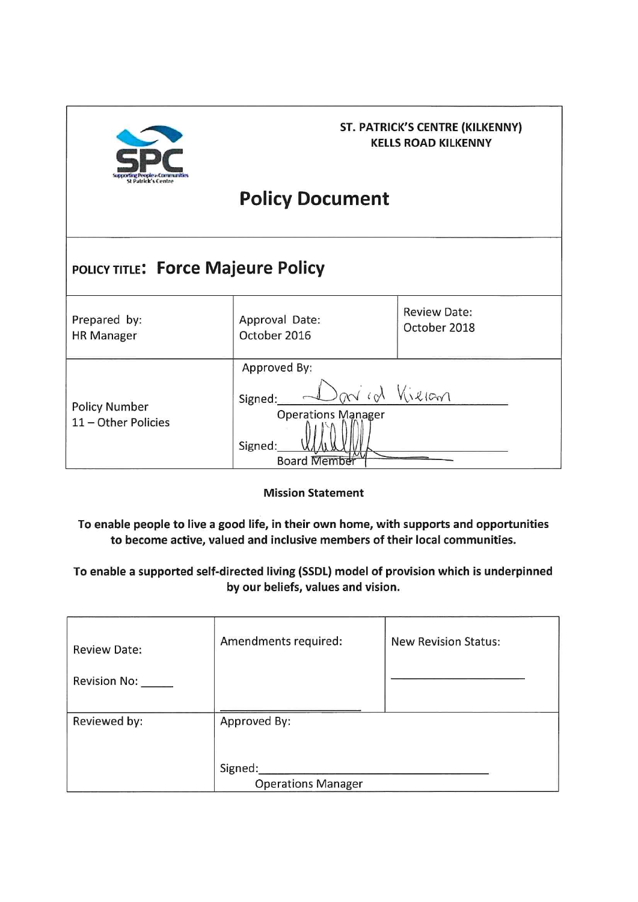

### ST. PATRICK'S CENTRE (KILKENNY) **KELLS ROAD KILKENNY**

# **Policy Document**

#### POLICY TITLE: Force Majeure Policy **Review Date:** Approval Date: Prepared by: October 2018 October 2016 **HR Manager** Approved By: an id Vielan Signed: **Policy Number Operations Manager** 11 - Other Policies Signed: **Board Member**

**Mission Statement** 

To enable people to live a good life, in their own home, with supports and opportunities to become active, valued and inclusive members of their local communities.

To enable a supported self-directed living (SSDL) model of provision which is underpinned by our beliefs, values and vision.

| <b>Review Date:</b><br><b>Revision No:</b> | Amendments required:                 | <b>New Revision Status:</b> |
|--------------------------------------------|--------------------------------------|-----------------------------|
| Reviewed by:                               | Approved By:                         |                             |
|                                            | Signed:<br><b>Operations Manager</b> |                             |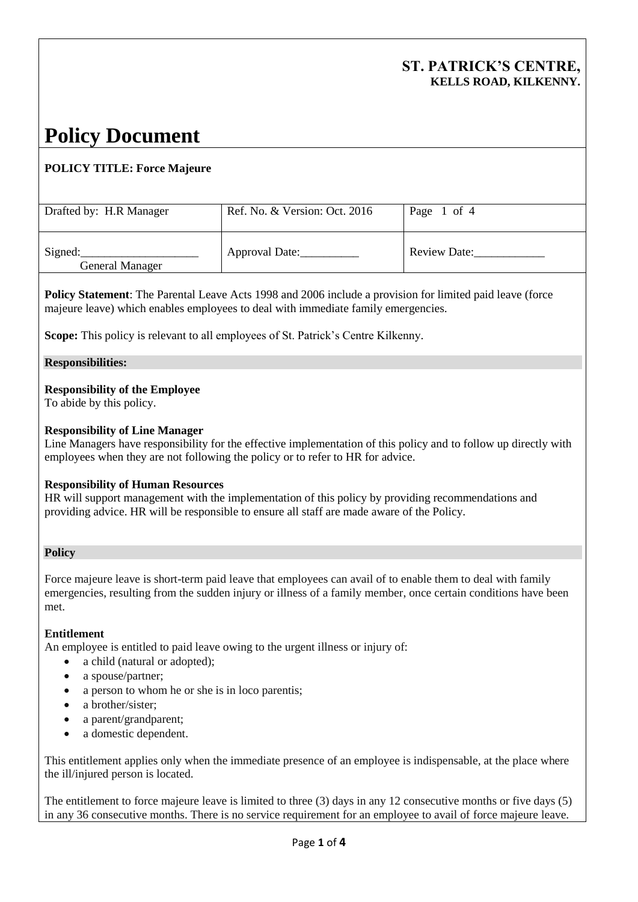**Policy Statement**: The Parental Leave Acts 1998 and 2006 include a provision for limited paid leave (force majeure leave) which enables employees to deal with immediate family emergencies.

**Scope:** This policy is relevant to all employees of St. Patrick's Centre Kilkenny.

## **Responsibilities:**

# **Responsibility of the Employee**

To abide by this policy.

# **Responsibility of Line Manager**

Line Managers have responsibility for the effective implementation of this policy and to follow up directly with employees when they are not following the policy or to refer to HR for advice.

# **Responsibility of Human Resources**

HR will support management with the implementation of this policy by providing recommendations and providing advice. HR will be responsible to ensure all staff are made aware of the Policy.

## **Policy**

Force majeure leave is short-term paid leave that employees can avail of to enable them to deal with family emergencies, resulting from the sudden injury or illness of a family member, once certain conditions have been met.

## **Entitlement**

An employee is entitled to paid leave owing to the urgent illness or injury of:

- a child (natural or adopted);
- a spouse/partner;
- a person to whom he or she is in loco parentis;
- a brother/sister;
- a parent/grandparent;
- a domestic dependent.

This entitlement applies only when the immediate presence of an employee is indispensable, at the place where the ill/injured person is located.

The entitlement to force majeure leave is limited to three (3) days in any 12 consecutive months or five days (5) in any 36 consecutive months. There is no service requirement for an employee to avail of force majeure leave.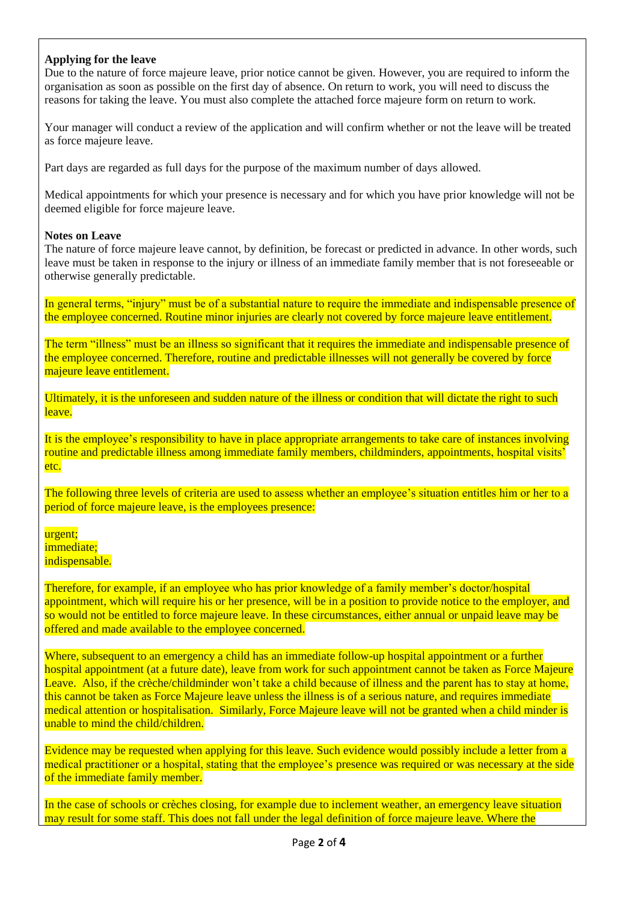#### **Applying for the leave**

Due to the nature of force majeure leave, prior notice cannot be given. However, you are required to inform the organisation as soon as possible on the first day of absence. On return to work, you will need to discuss the reasons for taking the leave. You must also complete the attached force majeure form on return to work.

Your manager will conduct a review of the application and will confirm whether or not the leave will be treated as force majeure leave.

Part days are regarded as full days for the purpose of the maximum number of days allowed.

Medical appointments for which your presence is necessary and for which you have prior knowledge will not be deemed eligible for force majeure leave.

#### **Notes on Leave**

The nature of force majeure leave cannot, by definition, be forecast or predicted in advance. In other words, such leave must be taken in response to the injury or illness of an immediate family member that is not foreseeable or otherwise generally predictable.

In general terms, "injury" must be of a substantial nature to require the immediate and indispensable presence of the employee concerned. Routine minor injuries are clearly not covered by force majeure leave entitlement.

The term "illness" must be an illness so significant that it requires the immediate and indispensable presence of the employee concerned. Therefore, routine and predictable illnesses will not generally be covered by force majeure leave entitlement.

Ultimately, it is the unforeseen and sudden nature of the illness or condition that will dictate the right to such leave.

It is the employee's responsibility to have in place appropriate arrangements to take care of instances involving routine and predictable illness among immediate family members, childminders, appointments, hospital visits<sup>'</sup> etc.

The following three levels of criteria are used to assess whether an employee's situation entitles him or her to a period of force majeure leave, is the employees presence:

urgent; immediate; indispensable.

Therefore, for example, if an employee who has prior knowledge of a family member's doctor/hospital appointment, which will require his or her presence, will be in a position to provide notice to the employer, and so would not be entitled to force majeure leave. In these circumstances, either annual or unpaid leave may be offered and made available to the employee concerned.

Where, subsequent to an emergency a child has an immediate follow-up hospital appointment or a further hospital appointment (at a future date), leave from work for such appointment cannot be taken as Force Majeure Leave. Also, if the crèche/childminder won't take a child because of illness and the parent has to stay at home, this cannot be taken as Force Majeure leave unless the illness is of a serious nature, and requires immediate medical attention or hospitalisation. Similarly, Force Majeure leave will not be granted when a child minder is unable to mind the child/children.

Evidence may be requested when applying for this leave. Such evidence would possibly include a letter from a medical practitioner or a hospital, stating that the employee's presence was required or was necessary at the side of the immediate family member.

In the case of schools or crèches closing, for example due to inclement weather, an emergency leave situation may result for some staff. This does not fall under the legal definition of force majeure leave. Where the